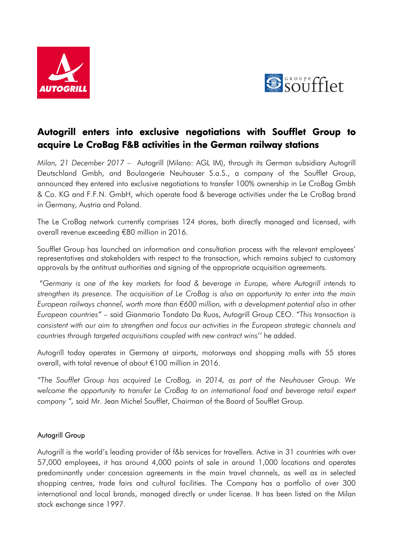



## Autogrill enters into exclusive negotiations with Soufflet Group to acquire Le CroBag F&B activities in the German railway stations

*Milan, 21 December 2017* – Autogrill (Milano: AGL IM), through its German subsidiary Autogrill Deutschland Gmbh, and Boulangerie Neuhauser S.a.S., a company of the Soufflet Group, announced they entered into exclusive negotiations to transfer 100% ownership in Le CroBag Gmbh & Co. KG and F.F.N. GmbH, which operate food & beverage activities under the Le CroBag brand in Germany, Austria and Poland.

The Le CroBag network currently comprises 124 stores, both directly managed and licensed, with overall revenue exceeding €80 million in 2016.

Soufflet Group has launched an information and consultation process with the relevant employees' representatives and stakeholders with respect to the transaction, which remains subject to customary approvals by the antitrust authorities and signing of the appropriate acquisition agreements.

 "*Germany is one of the key markets for food & beverage in Europe, where Autogrill intends to strengthen its presence. The acquisition of Le CroBag is also an opportunity to enter into the main European railways channel, worth more than €600 million, with a development potential also in other European countries" –* said Gianmario Tondato Da Ruos, Autogrill Group CEO. *"This transaction is consistent with our aim to strengthen and focus our activities in the European strategic channels and countries through targeted acquisitions coupled with new contract wins*'' he added.

Autogrill today operates in Germany at airports, motorways and shopping malls with 55 stores overall, with total revenue of about €100 million in 2016.

*"The Soufflet Group has acquired Le CroBag, in 2014, as part of the Neuhauser Group. We welcome the opportunity to transfer Le CroBag to an international food and beverage retail expert company ",* said Mr. Jean Michel Soufflet, Chairman of the Board of Soufflet Group*.* 

## Autogrill Group

Autogrill is the world's leading provider of f&b services for travellers. Active in 31 countries with over 57,000 employees, it has around 4,000 points of sale in around 1,000 locations and operates predominantly under concession agreements in the main travel channels, as well as in selected shopping centres, trade fairs and cultural facilities. The Company has a portfolio of over 300 international and local brands, managed directly or under license. It has been listed on the Milan stock exchange since 1997.